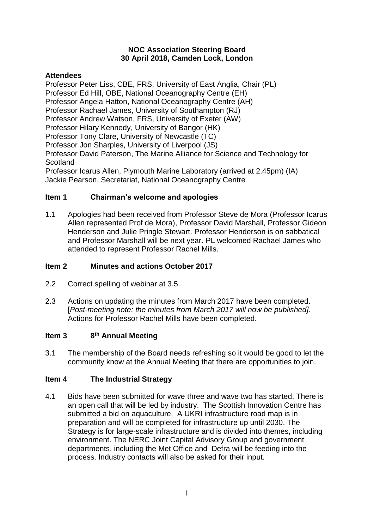#### **NOC Association Steering Board 30 April 2018, Camden Lock, London**

## **Attendees**

Professor Peter Liss, CBE, FRS, University of East Anglia, Chair (PL) Professor Ed Hill, OBE, National Oceanography Centre (EH) Professor Angela Hatton, National Oceanography Centre (AH) Professor Rachael James, University of Southampton (RJ) Professor Andrew Watson, FRS, University of Exeter (AW) Professor Hilary Kennedy, University of Bangor (HK) Professor Tony Clare, University of Newcastle (TC) Professor Jon Sharples, University of Liverpool (JS) Professor David Paterson, The Marine Alliance for Science and Technology for **Scotland** Professor Icarus Allen, Plymouth Marine Laboratory (arrived at 2.45pm) (IA) Jackie Pearson, Secretariat, National Oceanography Centre

## **Item 1 Chairman's welcome and apologies**

1.1 Apologies had been received from Professor Steve de Mora (Professor Icarus Allen represented Prof de Mora), Professor David Marshall, Professor Gideon Henderson and Julie Pringle Stewart. Professor Henderson is on sabbatical and Professor Marshall will be next year. PL welcomed Rachael James who attended to represent Professor Rachel Mills.

## **Item 2 Minutes and actions October 2017**

- 2.2 Correct spelling of webinar at 3.5.
- 2.3 Actions on updating the minutes from March 2017 have been completed. [*Post-meeting note: the minutes from March 2017 will now be published].* Actions for Professor Rachel Mills have been completed.

#### **Item 3 th Annual Meeting**

3.1 The membership of the Board needs refreshing so it would be good to let the community know at the Annual Meeting that there are opportunities to join.

# **Item 4 The Industrial Strategy**

4.1 Bids have been submitted for wave three and wave two has started. There is an open call that will be led by industry. The Scottish Innovation Centre has submitted a bid on aquaculture. A UKRI infrastructure road map is in preparation and will be completed for infrastructure up until 2030. The Strategy is for large-scale infrastructure and is divided into themes, including environment. The NERC Joint Capital Advisory Group and government departments, including the Met Office and Defra will be feeding into the process. Industry contacts will also be asked for their input.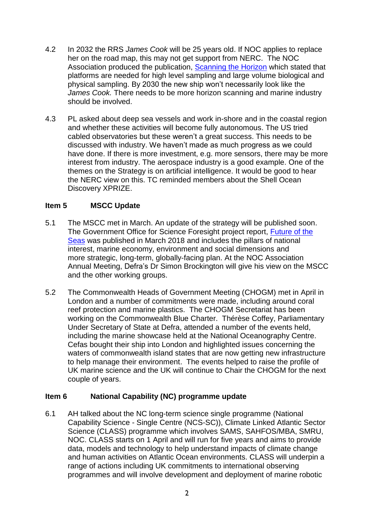- 4.2 In 2032 the RRS *James Cook* will be 25 years old. If NOC applies to replace her on the road map, this may not get support from NERC. The NOC Association produced the publication, Scanning [the Horizon](http://noc.ac.uk/files/documents/about/2013_Scanning%20the%20Horizon.pdf) which stated that platforms are needed for high level sampling and large volume biological and physical sampling. By 2030 the new ship won't necessarily look like the *James Cook.* There needs to be more horizon scanning and marine industry should be involved.
- 4.3 PL asked about deep sea vessels and work in-shore and in the coastal region and whether these activities will become fully autonomous. The US tried cabled observatories but these weren't a great success. This needs to be discussed with industry. We haven't made as much progress as we could have done. If there is more investment, e.g. more sensors, there may be more interest from industry. The aerospace industry is a good example. One of the themes on the Strategy is on artificial intelligence. It would be good to hear the NERC view on this. TC reminded members about the Shell Ocean Discovery XPRIZE.

#### **Item 5 MSCC Update**

- 5.1 The MSCC met in March. An update of the strategy will be published soon. The Government Office for Science Foresight project report, [Future of the](https://www.gov.uk/government/publications/future-of-the-sea--2)  [Seas](https://www.gov.uk/government/publications/future-of-the-sea--2) was published in March 2018 and includes the pillars of national interest, marine economy, environment and social dimensions and more strategic, long-term, globally-facing plan. At the NOC Association Annual Meeting, Defra's Dr Simon Brockington will give his view on the MSCC and the other working groups.
- 5.2 The Commonwealth Heads of Government Meeting (CHOGM) met in April in London and a number of commitments were made, including around coral reef protection and marine plastics. The CHOGM Secretariat has been working on the Commonwealth Blue Charter. Thérèse Coffey, Parliamentary Under Secretary of State at Defra, attended a number of the events held, including the marine showcase held at the National Oceanography Centre. Cefas bought their ship into London and highlighted issues concerning the waters of commonwealth island states that are now getting new infrastructure to help manage their environment. The events helped to raise the profile of UK marine science and the UK will continue to Chair the CHOGM for the next couple of years.

#### **Item 6 National Capability (NC) programme update**

6.1 AH talked about the NC long-term science single programme (National Capability Science - Single Centre (NCS-SC)), Climate Linked Atlantic Sector Science (CLASS) programme which involves SAMS, SAHFOS/MBA, SMRU, NOC. CLASS starts on 1 April and will run for five years and aims to provide data, models and technology to help understand impacts of climate change and human activities on Atlantic Ocean environments. CLASS will underpin a range of actions including UK commitments to international observing programmes and will involve development and deployment of marine robotic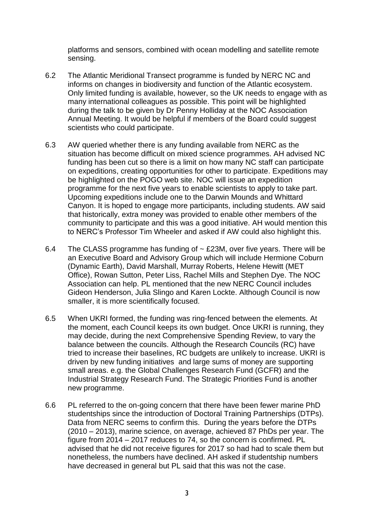platforms and sensors, combined with ocean modelling and satellite remote sensing.

- 6.2 The Atlantic Meridional Transect programme is funded by NERC NC and informs on changes in biodiversity and function of the Atlantic ecosystem. Only limited funding is available, however, so the UK needs to engage with as many international colleagues as possible. This point will be highlighted during the talk to be given by Dr Penny Holliday at the NOC Association Annual Meeting. It would be helpful if members of the Board could suggest scientists who could participate.
- 6.3 AW queried whether there is any funding available from NERC as the situation has become difficult on mixed science programmes. AH advised NC funding has been cut so there is a limit on how many NC staff can participate on expeditions, creating opportunities for other to participate. Expeditions may be highlighted on the POGO web site. NOC will issue an expedition programme for the next five years to enable scientists to apply to take part. Upcoming expeditions include one to the Darwin Mounds and Whittard Canyon. It is hoped to engage more participants, including students. AW said that historically, extra money was provided to enable other members of the community to participate and this was a good initiative. AH would mention this to NERC's Professor Tim Wheeler and asked if AW could also highlight this.
- 6.4 The CLASS programme has funding of  $\sim$  £23M, over five years. There will be an Executive Board and Advisory Group which will include Hermione Coburn (Dynamic Earth), David Marshall, Murray Roberts, Helene Hewitt (MET Office), Rowan Sutton, Peter Liss, Rachel Mills and Stephen Dye. The NOC Association can help. PL mentioned that the new NERC Council includes Gideon Henderson, Julia Slingo and Karen Lockte. Although Council is now smaller, it is more scientifically focused.
- 6.5 When UKRI formed, the funding was ring-fenced between the elements. At the moment, each Council keeps its own budget. Once UKRI is running, they may decide, during the next Comprehensive Spending Review, to vary the balance between the councils. Although the Research Councils (RC) have tried to increase their baselines, RC budgets are unlikely to increase. UKRI is driven by new funding initiatives and large sums of money are supporting small areas. e.g. the Global Challenges Research Fund (GCFR) and the Industrial Strategy Research Fund. The Strategic Priorities Fund is another new programme.
- 6.6 PL referred to the on-going concern that there have been fewer marine PhD studentships since the introduction of Doctoral Training Partnerships (DTPs). Data from NERC seems to confirm this. During the years before the DTPs (2010 – 2013), marine science, on average, achieved 87 PhDs per year. The figure from 2014 – 2017 reduces to 74, so the concern is confirmed. PL advised that he did not receive figures for 2017 so had had to scale them but nonetheless, the numbers have declined. AH asked if studentship numbers have decreased in general but PL said that this was not the case.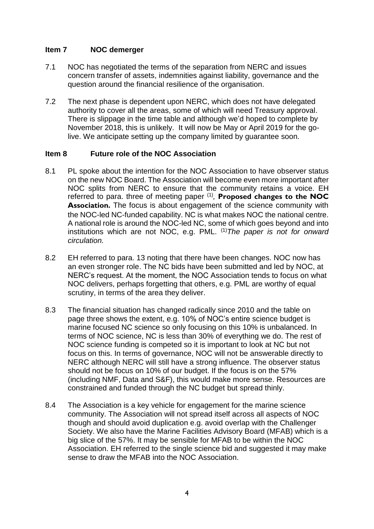### **Item 7 NOC demerger**

- 7.1 NOC has negotiated the terms of the separation from NERC and issues concern transfer of assets, indemnities against liability, governance and the question around the financial resilience of the organisation.
- 7.2 The next phase is dependent upon NERC, which does not have delegated authority to cover all the areas, some of which will need Treasury approval. There is slippage in the time table and although we'd hoped to complete by November 2018, this is unlikely. It will now be May or April 2019 for the golive. We anticipate setting up the company limited by guarantee soon.

#### **Item 8 Future role of the NOC Association**

- 8.1 PL spoke about the intention for the NOC Association to have observer status on the new NOC Board. The Association will become even more important after NOC splits from NERC to ensure that the community retains a voice. EH referred to para. three of meeting paper (1) *,* **Proposed changes to the NOC Association.** The focus is about engagement of the science community with the NOC-led NC-funded capability. NC is what makes NOC the national centre. A national role is around the NOC-led NC, some of which goes beyond and into institutions which are not NOC, e.g. PML. (1)*The paper is not for onward circulation.*
- 8.2 EH referred to para. 13 noting that there have been changes. NOC now has an even stronger role. The NC bids have been submitted and led by NOC, at NERC's request. At the moment, the NOC Association tends to focus on what NOC delivers, perhaps forgetting that others, e.g. PML are worthy of equal scrutiny, in terms of the area they deliver.
- 8.3 The financial situation has changed radically since 2010 and the table on page three shows the extent, e.g. 10% of NOC's entire science budget is marine focused NC science so only focusing on this 10% is unbalanced. In terms of NOC science, NC is less than 30% of everything we do. The rest of NOC science funding is competed so it is important to look at NC but not focus on this. In terms of governance, NOC will not be answerable directly to NERC although NERC will still have a strong influence. The observer status should not be focus on 10% of our budget. If the focus is on the 57% (including NMF, Data and S&F), this would make more sense. Resources are constrained and funded through the NC budget but spread thinly.
- 8.4 The Association is a key vehicle for engagement for the marine science community. The Association will not spread itself across all aspects of NOC though and should avoid duplication e.g. avoid overlap with the Challenger Society. We also have the Marine Facilities Advisory Board (MFAB) which is a big slice of the 57%. It may be sensible for MFAB to be within the NOC Association. EH referred to the single science bid and suggested it may make sense to draw the MFAB into the NOC Association.